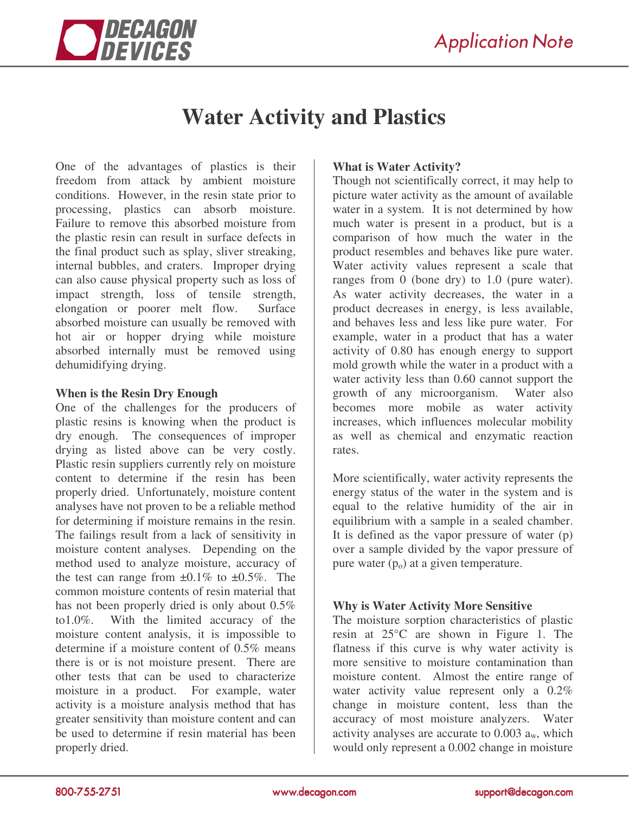

## **Water Activity and Plastics**

One of the advantages of plastics is their freedom from attack by ambient moisture conditions. However, in the resin state prior to processing, plastics can absorb moisture. Failure to remove this absorbed moisture from the plastic resin can result in surface defects in the final product such as splay, sliver streaking, internal bubbles, and craters. Improper drying can also cause physical property such as loss of impact strength, loss of tensile strength, elongation or poorer melt flow. Surface absorbed moisture can usually be removed with hot air or hopper drying while moisture absorbed internally must be removed using dehumidifying drying.

## **When is the Resin Dry Enough**

One of the challenges for the producers of plastic resins is knowing when the product is dry enough. The consequences of improper drying as listed above can be very costly. Plastic resin suppliers currently rely on moisture content to determine if the resin has been properly dried. Unfortunately, moisture content analyses have not proven to be a reliable method for determining if moisture remains in the resin. The failings result from a lack of sensitivity in moisture content analyses. Depending on the method used to analyze moisture, accuracy of the test can range from  $\pm 0.1\%$  to  $\pm 0.5\%$ . The common moisture contents of resin material that has not been properly dried is only about 0.5% to1.0%. With the limited accuracy of the moisture content analysis, it is impossible to determine if a moisture content of 0.5% means there is or is not moisture present. There are other tests that can be used to characterize moisture in a product. For example, water activity is a moisture analysis method that has greater sensitivity than moisture content and can be used to determine if resin material has been properly dried.

## **What is Water Activity?**

Though not scientifically correct, it may help to picture water activity as the amount of available water in a system. It is not determined by how much water is present in a product, but is a comparison of how much the water in the product resembles and behaves like pure water. Water activity values represent a scale that ranges from 0 (bone dry) to 1.0 (pure water). As water activity decreases, the water in a product decreases in energy, is less available, and behaves less and less like pure water. For example, water in a product that has a water activity of 0.80 has enough energy to support mold growth while the water in a product with a water activity less than 0.60 cannot support the growth of any microorganism. Water also becomes more mobile as water activity increases, which influences molecular mobility as well as chemical and enzymatic reaction rates.

More scientifically, water activity represents the energy status of the water in the system and is equal to the relative humidity of the air in equilibrium with a sample in a sealed chamber. It is defined as the vapor pressure of water (p) over a sample divided by the vapor pressure of pure water  $(p_0)$  at a given temperature.

## **Why is Water Activity More Sensitive**

The moisture sorption characteristics of plastic resin at 25°C are shown in Figure 1. The flatness if this curve is why water activity is more sensitive to moisture contamination than moisture content. Almost the entire range of water activity value represent only a 0.2% change in moisture content, less than the accuracy of most moisture analyzers. Water activity analyses are accurate to  $0.003$   $a_w$ , which would only represent a 0.002 change in moisture